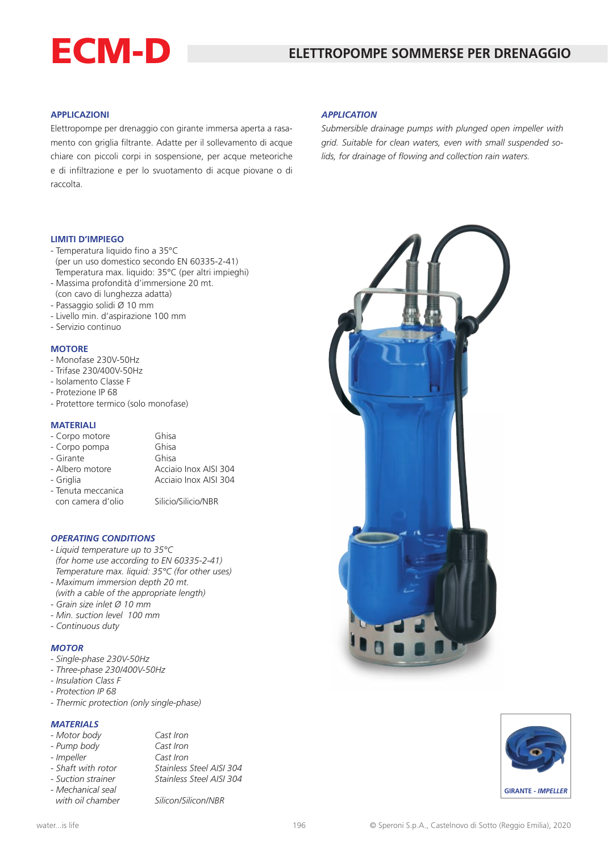# ECM-D

## **APPLICAZIONI**

Elettropompe per drenaggio con girante immersa aperta a rasamento con griglia filtrante. Adatte per il sollevamento di acque chiare con piccoli corpi in sospensione, per acque meteoriche e di infiltrazione e per lo svuotamento di acque piovane o di raccolta.

# *APPLICATION*

*Submersible drainage pumps with plunged open impeller with grid. Suitable for clean waters, even with small suspended solids, for drainage of flowing and collection rain waters.*





#### **LIMITI D'IMPIEGO**

- Temperatura liquido fino a 35°C (per un uso domestico secondo EN 60335-2-41) Temperatura max. liquido: 35°C (per altri impieghi)
- Massima profondità d'immersione 20 mt.
- (con cavo di lunghezza adatta)
- Passaggio solidi Ø 10 mm
- Livello min. d'aspirazione 100 mm
- Servizio continuo

#### **MOTORE**

- Monofase 230V-50Hz
- Trifase 230/400V-50Hz
- Isolamento Classe F
- Protezione IP 68
- Protettore termico (solo monofase)

#### **MATERIALI**

| - Corpo motore     | Ghisa                 |
|--------------------|-----------------------|
| - Corpo pompa      | Ghisa                 |
| - Girante          | Ghisa                 |
| - Albero motore    | Acciaio Inox AISI 304 |
| - Griglia          | Acciaio Inox AISI 304 |
| - Tenuta meccanica |                       |
| con camera d'olio  | Silicio/Silicio/NBR   |

#### *OPERATING CONDITIONS*

- *Liquid temperature up to 35°C (for home use according to EN 60335-2-41) Temperature max. liquid: 35°C (for other uses)*
- *Maximum immersion depth 20 mt. (with a cable of the appropriate length)*
- *Grain size inlet Ø 10 mm*
- *Min. suction level 100 mm*
- *Continuous duty*

### *MOTOR*

- *Single-phase 230V-50Hz*
- *Three-phase 230/400V-50Hz*
- *Insulation Class F*
- *Protection IP 68*
- *Thermic protection (only single-phase)*

# *MATERIALS*

| - Motor body |  |
|--------------|--|
|              |  |

*- Mechanical seal*

*- Impeller Cast Iron*

*- Motor body Cast Iron - Pump body Cast Iron - Shaft with rotor Stainless Steel AISI 304 - Suction strainer Stainless Steel AISI 304*

 *with oil chamber Silicon/Silicon/NBR*